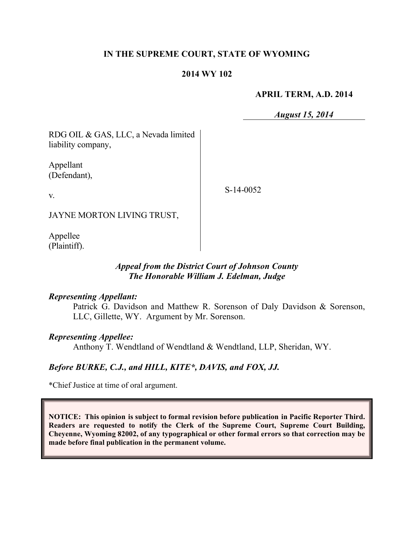## **IN THE SUPREME COURT, STATE OF WYOMING**

#### **2014 WY 102**

#### **APRIL TERM, A.D. 2014**

*August 15, 2014*

RDG OIL & GAS, LLC, a Nevada limited liability company,

Appellant (Defendant),

S-14-0052

JAYNE MORTON LIVING TRUST,

Appellee (Plaintiff).

v.

## *Appeal from the District Court of Johnson County The Honorable William J. Edelman, Judge*

#### *Representing Appellant:*

Patrick G. Davidson and Matthew R. Sorenson of Daly Davidson & Sorenson, LLC, Gillette, WY. Argument by Mr. Sorenson.

#### *Representing Appellee:*

Anthony T. Wendtland of Wendtland & Wendtland, LLP, Sheridan, WY.

## *Before BURKE, C.J., and HILL, KITE\*, DAVIS, and FOX, JJ.*

\*Chief Justice at time of oral argument.

**NOTICE: This opinion is subject to formal revision before publication in Pacific Reporter Third. Readers are requested to notify the Clerk of the Supreme Court, Supreme Court Building, Cheyenne, Wyoming 82002, of any typographical or other formal errors so that correction may be made before final publication in the permanent volume.**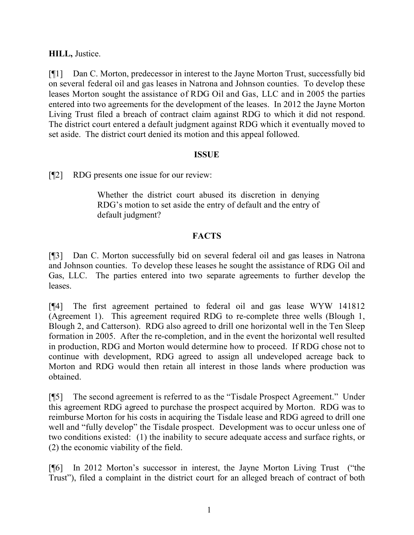**HILL,** Justice.

[¶1] Dan C. Morton, predecessor in interest to the Jayne Morton Trust, successfully bid on several federal oil and gas leases in Natrona and Johnson counties. To develop these leases Morton sought the assistance of RDG Oil and Gas, LLC and in 2005 the parties entered into two agreements for the development of the leases. In 2012 the Jayne Morton Living Trust filed a breach of contract claim against RDG to which it did not respond. The district court entered a default judgment against RDG which it eventually moved to set aside. The district court denied its motion and this appeal followed.

## **ISSUE**

[¶2] RDG presents one issue for our review:

Whether the district court abused its discretion in denying RDG's motion to set aside the entry of default and the entry of default judgment?

# **FACTS**

[¶3] Dan C. Morton successfully bid on several federal oil and gas leases in Natrona and Johnson counties. To develop these leases he sought the assistance of RDG Oil and Gas, LLC. The parties entered into two separate agreements to further develop the leases.

[¶4] The first agreement pertained to federal oil and gas lease WYW 141812 (Agreement 1). This agreement required RDG to re-complete three wells (Blough 1, Blough 2, and Catterson). RDG also agreed to drill one horizontal well in the Ten Sleep formation in 2005. After the re-completion, and in the event the horizontal well resulted in production, RDG and Morton would determine how to proceed. If RDG chose not to continue with development, RDG agreed to assign all undeveloped acreage back to Morton and RDG would then retain all interest in those lands where production was obtained.

[¶5] The second agreement is referred to as the "Tisdale Prospect Agreement." Under this agreement RDG agreed to purchase the prospect acquired by Morton. RDG was to reimburse Morton for his costs in acquiring the Tisdale lease and RDG agreed to drill one well and "fully develop" the Tisdale prospect. Development was to occur unless one of two conditions existed: (1) the inability to secure adequate access and surface rights, or (2) the economic viability of the field.

[¶6] In 2012 Morton's successor in interest, the Jayne Morton Living Trust ("the Trust"), filed a complaint in the district court for an alleged breach of contract of both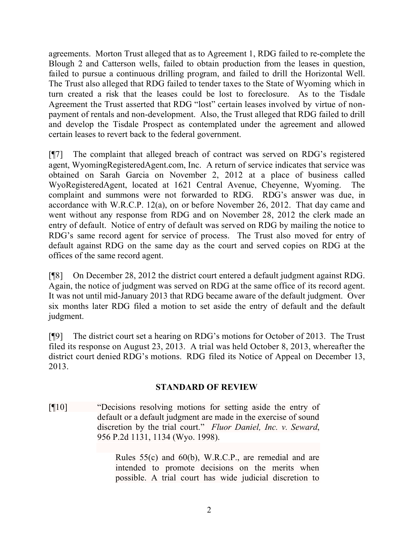agreements. Morton Trust alleged that as to Agreement 1, RDG failed to re-complete the Blough 2 and Catterson wells, failed to obtain production from the leases in question, failed to pursue a continuous drilling program, and failed to drill the Horizontal Well. The Trust also alleged that RDG failed to tender taxes to the State of Wyoming which in turn created a risk that the leases could be lost to foreclosure. As to the Tisdale Agreement the Trust asserted that RDG "lost" certain leases involved by virtue of nonpayment of rentals and non-development. Also, the Trust alleged that RDG failed to drill and develop the Tisdale Prospect as contemplated under the agreement and allowed certain leases to revert back to the federal government.

[¶7] The complaint that alleged breach of contract was served on RDG's registered agent, WyomingRegisteredAgent.com, Inc. A return of service indicates that service was obtained on Sarah Garcia on November 2, 2012 at a place of business called WyoRegisteredAgent, located at 1621 Central Avenue, Cheyenne, Wyoming. The complaint and summons were not forwarded to RDG. RDG's answer was due, in accordance with W.R.C.P. 12(a), on or before November 26, 2012. That day came and went without any response from RDG and on November 28, 2012 the clerk made an entry of default. Notice of entry of default was served on RDG by mailing the notice to RDG's same record agent for service of process. The Trust also moved for entry of default against RDG on the same day as the court and served copies on RDG at the offices of the same record agent.

[¶8] On December 28, 2012 the district court entered a default judgment against RDG. Again, the notice of judgment was served on RDG at the same office of its record agent. It was not until mid-January 2013 that RDG became aware of the default judgment. Over six months later RDG filed a motion to set aside the entry of default and the default judgment.

[¶9] The district court set a hearing on RDG's motions for October of 2013. The Trust filed its response on August 23, 2013. A trial was held October 8, 2013, whereafter the district court denied RDG's motions. RDG filed its Notice of Appeal on December 13, 2013.

## **STANDARD OF REVIEW**

[¶10] "Decisions resolving motions for setting aside the entry of default or a default judgment are made in the exercise of sound discretion by the trial court." *Fluor Daniel, Inc. v. Seward*, 956 P.2d 1131, 1134 (Wyo. 1998).

> Rules 55(c) and 60(b), W.R.C.P., are remedial and are intended to promote decisions on the merits when possible. A trial court has wide judicial discretion to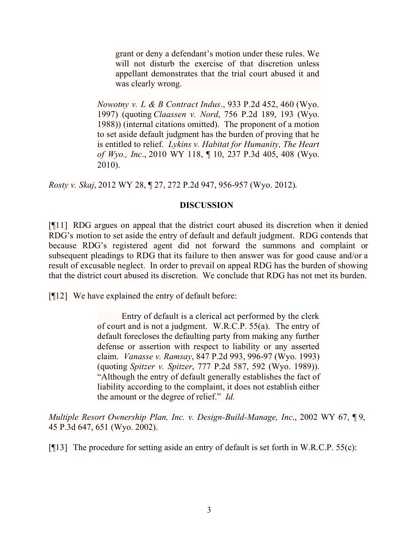grant or deny a defendant's motion under these rules. We will not disturb the exercise of that discretion unless appellant demonstrates that the trial court abused it and was clearly wrong.

*Nowotny v. L & B Contract Indus*., 933 P.2d 452, 460 (Wyo. 1997) (quoting *Claassen v. Nord*, 756 P.2d 189, 193 (Wyo. 1988)) (internal citations omitted). The proponent of a motion to set aside default judgment has the burden of proving that he is entitled to relief. *Lykins v. Habitat for Humanity, The Heart of Wyo., Inc*., 2010 WY 118, ¶ 10, 237 P.3d 405, 408 (Wyo. 2010).

*Rosty v. Skaj*, 2012 WY 28, ¶ 27, 272 P.2d 947, 956-957 (Wyo. 2012).

#### **DISCUSSION**

[¶11] RDG argues on appeal that the district court abused its discretion when it denied RDG's motion to set aside the entry of default and default judgment. RDG contends that because RDG's registered agent did not forward the summons and complaint or subsequent pleadings to RDG that its failure to then answer was for good cause and/or a result of excusable neglect. In order to prevail on appeal RDG has the burden of showing that the district court abused its discretion. We conclude that RDG has not met its burden.

[¶12] We have explained the entry of default before:

Entry of default is a clerical act performed by the clerk of court and is not a judgment. W.R.C.P. 55(a). The entry of default forecloses the defaulting party from making any further defense or assertion with respect to liability or any asserted claim. *Vanasse v. Ramsay*, 847 P.2d 993, 996-97 (Wyo. 1993) (quoting *Spitzer v. Spitzer*, 777 P.2d 587, 592 (Wyo. 1989)). "Although the entry of default generally establishes the fact of liability according to the complaint, it does not establish either the amount or the degree of relief." *Id.*

*Multiple Resort Ownership Plan, Inc. v. Design-Build-Manage, Inc*., 2002 WY 67, ¶ 9, 45 P.3d 647, 651 (Wyo. 2002).

[ $[13]$ ] The procedure for setting aside an entry of default is set forth in W.R.C.P. 55(c):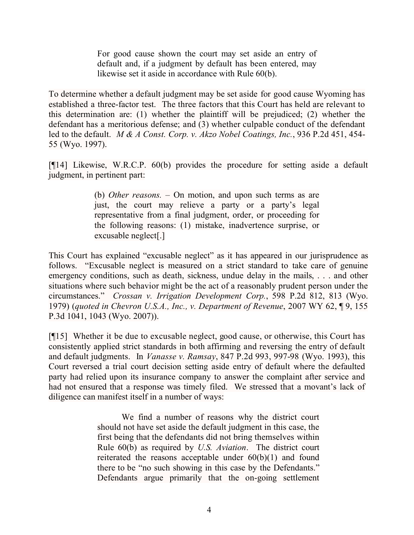For good cause shown the court may set aside an entry of default and, if a judgment by default has been entered, may likewise set it aside in accordance with Rule 60(b).

To determine whether a default judgment may be set aside for good cause Wyoming has established a three-factor test. The three factors that this Court has held are relevant to this determination are: (1) whether the plaintiff will be prejudiced; (2) whether the defendant has a meritorious defense; and (3) whether culpable conduct of the defendant led to the default. *M & A Const. Corp. v. Akzo Nobel Coatings, Inc.*, 936 P.2d 451, 454- 55 (Wyo. 1997).

[¶14] Likewise, W.R.C.P. 60(b) provides the procedure for setting aside a default judgment, in pertinent part:

> (b) *Other reasons. –* On motion, and upon such terms as are just, the court may relieve a party or a party's legal representative from a final judgment, order, or proceeding for the following reasons: (1) mistake, inadvertence surprise, or excusable neglect[.]

This Court has explained "excusable neglect" as it has appeared in our jurisprudence as follows. "Excusable neglect is measured on a strict standard to take care of genuine emergency conditions, such as death, sickness, undue delay in the mails, . . . and other situations where such behavior might be the act of a reasonably prudent person under the circumstances." *Crossan v. Irrigation Development Corp.*, 598 P.2d 812, 813 (Wyo. 1979) (*quoted in Chevron U.S.A., Inc., v. Department of Revenue*, 2007 WY 62, ¶ 9, 155 P.3d 1041, 1043 (Wyo. 2007)).

[¶15] Whether it be due to excusable neglect, good cause, or otherwise, this Court has consistently applied strict standards in both affirming and reversing the entry of default and default judgments. In *Vanasse v. Ramsay*, 847 P.2d 993, 997-98 (Wyo. 1993), this Court reversed a trial court decision setting aside entry of default where the defaulted party had relied upon its insurance company to answer the complaint after service and had not ensured that a response was timely filed. We stressed that a movant's lack of diligence can manifest itself in a number of ways:

> We find a number of reasons why the district court should not have set aside the default judgment in this case, the first being that the defendants did not bring themselves within Rule 60(b) as required by *U.S. Aviation*. The district court reiterated the reasons acceptable under 60(b)(1) and found there to be "no such showing in this case by the Defendants." Defendants argue primarily that the on-going settlement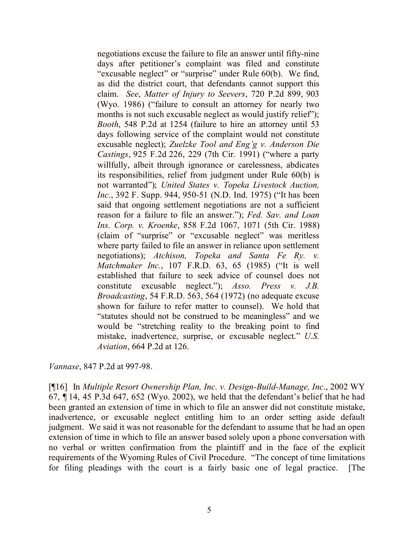negotiations excuse the failure to file an answer until fifty-nine days after petitioner's complaint was filed and constitute "excusable neglect" or "surprise" under Rule 60(b). We find, as did the district court, that defendants cannot support this claim. *See*, *Matter of Injury to Seevers*, 720 P.2d 899, 903 (Wyo. 1986) ("failure to consult an attorney for nearly two months is not such excusable neglect as would justify relief"); *Booth*, 548 P.2d at 1254 (failure to hire an attorney until 53 days following service of the complaint would not constitute excusable neglect); *Zuelzke Tool and Eng'g v. Anderson Die Castings*, 925 F.2d 226, 229 (7th Cir. 1991) ("where a party willfully, albeit through ignorance or carelessness, abdicates its responsibilities, relief from judgment under Rule 60(b) is not warranted"); *United States v. Topeka Livestock Auction, Inc.*, 392 F. Supp. 944, 950-51 (N.D. Ind. 1975) ("It has been said that ongoing settlement negotiations are not a sufficient reason for a failure to file an answer."); *Fed. Sav. and Loan Ins. Corp. v. Kroenke*, 858 F.2d 1067, 1071 (5th Cir. 1988) (claim of "surprise" or "excusable neglect" was meritless where party failed to file an answer in reliance upon settlement negotiations); *Atchison, Topeka and Santa Fe Ry. v. Matchmaker Inc.*, 107 F.R.D. 63, 65 (1985) ("It is well established that failure to seek advice of counsel does not constitute excusable neglect."); *Asso. Press v. J.B. Broadcasting*, 54 F.R.D. 563, 564 (1972) (no adequate excuse shown for failure to refer matter to counsel). We hold that "statutes should not be construed to be meaningless" and we would be "stretching reality to the breaking point to find mistake, inadvertence, surprise, or excusable neglect." *U.S. Aviation*, 664 P.2d at 126.

*Vannase*, 847 P.2d at 997-98.

[¶16] In *Multiple Resort Ownership Plan, Inc. v. Design-Build-Manage, Inc*., 2002 WY 67, ¶ 14, 45 P.3d 647, 652 (Wyo. 2002), we held that the defendant's belief that he had been granted an extension of time in which to file an answer did not constitute mistake, inadvertence, or excusable neglect entitling him to an order setting aside default judgment. We said it was not reasonable for the defendant to assume that he had an open extension of time in which to file an answer based solely upon a phone conversation with no verbal or written confirmation from the plaintiff and in the face of the explicit requirements of the Wyoming Rules of Civil Procedure. "The concept of time limitations for filing pleadings with the court is a fairly basic one of legal practice. [The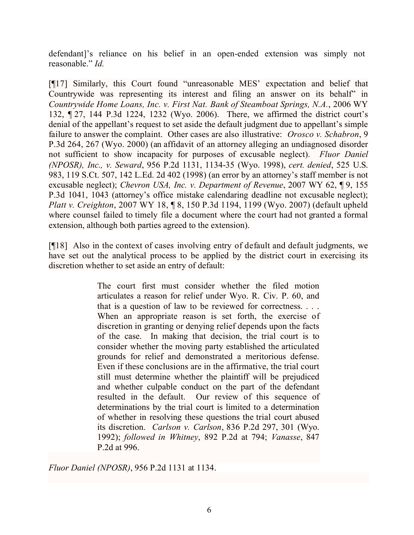defendant]'s reliance on his belief in an open-ended extension was simply not reasonable." *Id.*

[¶17] Similarly, this Court found "unreasonable MES' expectation and belief that Countrywide was representing its interest and filing an answer on its behalf" in *Countrywide Home Loans, Inc. v. First Nat. Bank of Steamboat Springs, N.A.*, 2006 WY 132, ¶ 27, 144 P.3d 1224, 1232 (Wyo. 2006). There, we affirmed the district court's denial of the appellant's request to set aside the default judgment due to appellant's simple failure to answer the complaint. Other cases are also illustrative: *Orosco v. Schabron*, 9 P.3d 264, 267 (Wyo. 2000) (an affidavit of an attorney alleging an undiagnosed disorder not sufficient to show incapacity for purposes of excusable neglect). *Fluor Daniel (NPOSR), Inc., v. Seward*, 956 P.2d 1131, 1134-35 (Wyo. 1998), *cert. denied*, 525 U.S. 983, 119 S.Ct. 507, 142 L.Ed. 2d 402 (1998) (an error by an attorney's staff member is not excusable neglect); *Chevron USA, Inc. v. Department of Revenue*, 2007 WY 62, ¶ 9, 155 P.3d 1041, 1043 (attorney's office mistake calendaring deadline not excusable neglect); *Platt v. Creighton*, 2007 WY 18, ¶ 8, 150 P.3d 1194, 1199 (Wyo. 2007) (default upheld where counsel failed to timely file a document where the court had not granted a formal extension, although both parties agreed to the extension).

[¶18] Also in the context of cases involving entry of default and default judgments, we have set out the analytical process to be applied by the district court in exercising its discretion whether to set aside an entry of default:

> The court first must consider whether the filed motion articulates a reason for relief under Wyo. R. Civ. P. 60, and that is a question of law to be reviewed for correctness. . . . When an appropriate reason is set forth, the exercise of discretion in granting or denying relief depends upon the facts of the case. In making that decision, the trial court is to consider whether the moving party established the articulated grounds for relief and demonstrated a meritorious defense. Even if these conclusions are in the affirmative, the trial court still must determine whether the plaintiff will be prejudiced and whether culpable conduct on the part of the defendant resulted in the default. Our review of this sequence of determinations by the trial court is limited to a determination of whether in resolving these questions the trial court abused its discretion. *Carlson v. Carlson*, 836 P.2d 297, 301 (Wyo. 1992); *followed in Whitney*, 892 P.2d at 794; *Vanasse*, 847 P.2d at 996.

*Fluor Daniel (NPOSR)*, 956 P.2d 1131 at 1134.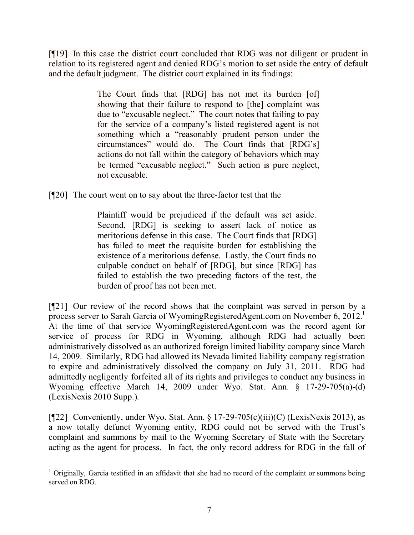[¶19] In this case the district court concluded that RDG was not diligent or prudent in relation to its registered agent and denied RDG's motion to set aside the entry of default and the default judgment. The district court explained in its findings:

> The Court finds that [RDG] has not met its burden [of] showing that their failure to respond to [the] complaint was due to "excusable neglect." The court notes that failing to pay for the service of a company's listed registered agent is not something which a "reasonably prudent person under the circumstances" would do. The Court finds that [RDG's] actions do not fall within the category of behaviors which may be termed "excusable neglect." Such action is pure neglect, not excusable.

[¶20] The court went on to say about the three-factor test that the

Plaintiff would be prejudiced if the default was set aside. Second, [RDG] is seeking to assert lack of notice as meritorious defense in this case. The Court finds that [RDG] has failed to meet the requisite burden for establishing the existence of a meritorious defense. Lastly, the Court finds no culpable conduct on behalf of [RDG], but since [RDG] has failed to establish the two preceding factors of the test, the burden of proof has not been met.

[¶21] Our review of the record shows that the complaint was served in person by a process server to Sarah Garcia of WyomingRegisteredAgent.com on November 6, 2012.<sup>1</sup> At the time of that service WyomingRegisteredAgent.com was the record agent for service of process for RDG in Wyoming, although RDG had actually been administratively dissolved as an authorized foreign limited liability company since March 14, 2009. Similarly, RDG had allowed its Nevada limited liability company registration to expire and administratively dissolved the company on July 31, 2011. RDG had admittedly negligently forfeited all of its rights and privileges to conduct any business in Wyoming effective March 14, 2009 under Wyo. Stat. Ann. § 17-29-705(a)-(d) (LexisNexis 2010 Supp.).

[ $[$ [22] Conveniently, under Wyo. Stat. Ann. § 17-29-705(c)(iii)(C) (LexisNexis 2013), as a now totally defunct Wyoming entity, RDG could not be served with the Trust's complaint and summons by mail to the Wyoming Secretary of State with the Secretary acting as the agent for process. In fact, the only record address for RDG in the fall of

 $1$  Originally, Garcia testified in an affidavit that she had no record of the complaint or summons being served on RDG.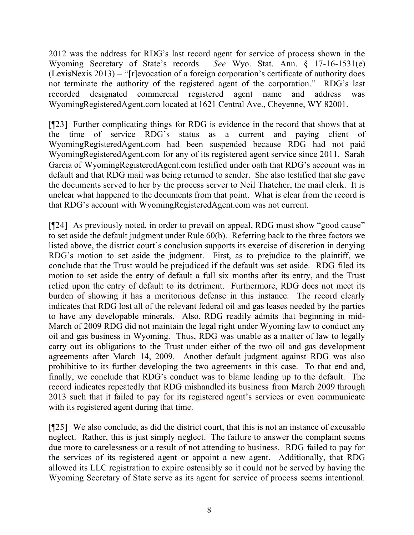2012 was the address for RDG's last record agent for service of process shown in the Wyoming Secretary of State's records. *See* Wyo. Stat. Ann. § 17-16-1531(e) (LexisNexis 2013) – "[r]evocation of a foreign corporation's certificate of authority does not terminate the authority of the registered agent of the corporation." RDG's last recorded designated commercial registered agent name and address was WyomingRegisteredAgent.com located at 1621 Central Ave., Cheyenne, WY 82001.

[¶23] Further complicating things for RDG is evidence in the record that shows that at the time of service RDG's status as a current and paying client of WyomingRegisteredAgent.com had been suspended because RDG had not paid WyomingRegisteredAgent.com for any of its registered agent service since 2011. Sarah Garcia of WyomingRegisteredAgent.com testified under oath that RDG's account was in default and that RDG mail was being returned to sender. She also testified that she gave the documents served to her by the process server to Neil Thatcher, the mail clerk. It is unclear what happened to the documents from that point. What is clear from the record is that RDG's account with WyomingRegisteredAgent.com was not current.

[¶24] As previously noted, in order to prevail on appeal, RDG must show "good cause" to set aside the default judgment under Rule 60(b). Referring back to the three factors we listed above, the district court's conclusion supports its exercise of discretion in denying RDG's motion to set aside the judgment. First, as to prejudice to the plaintiff, we conclude that the Trust would be prejudiced if the default was set aside. RDG filed its motion to set aside the entry of default a full six months after its entry, and the Trust relied upon the entry of default to its detriment. Furthermore, RDG does not meet its burden of showing it has a meritorious defense in this instance. The record clearly indicates that RDG lost all of the relevant federal oil and gas leases needed by the parties to have any developable minerals. Also, RDG readily admits that beginning in mid-March of 2009 RDG did not maintain the legal right under Wyoming law to conduct any oil and gas business in Wyoming. Thus, RDG was unable as a matter of law to legally carry out its obligations to the Trust under either of the two oil and gas development agreements after March 14, 2009. Another default judgment against RDG was also prohibitive to its further developing the two agreements in this case. To that end and, finally, we conclude that RDG's conduct was to blame leading up to the default. The record indicates repeatedly that RDG mishandled its business from March 2009 through 2013 such that it failed to pay for its registered agent's services or even communicate with its registered agent during that time.

[¶25] We also conclude, as did the district court, that this is not an instance of excusable neglect. Rather, this is just simply neglect. The failure to answer the complaint seems due more to carelessness or a result of not attending to business. RDG failed to pay for the services of its registered agent or appoint a new agent. Additionally, that RDG allowed its LLC registration to expire ostensibly so it could not be served by having the Wyoming Secretary of State serve as its agent for service of process seems intentional.